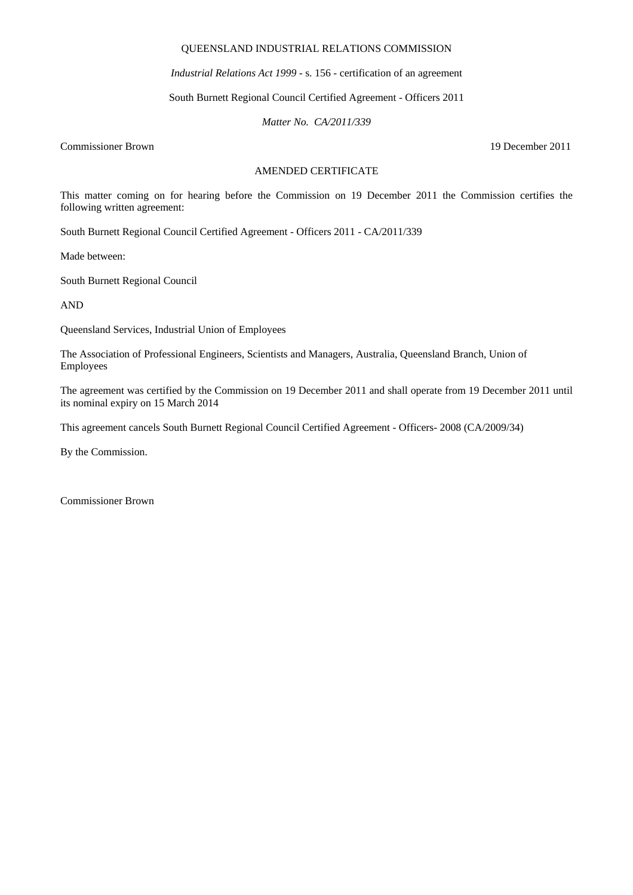#### QUEENSLAND INDUSTRIAL RELATIONS COMMISSION

*Industrial Relations Act 1999* - s. 156 - certification of an agreement

South Burnett Regional Council Certified Agreement - Officers 2011

*Matter No. CA/2011/339* 

Commissioner Brown 19 December 2011

# AMENDED CERTIFICATE

This matter coming on for hearing before the Commission on 19 December 2011 the Commission certifies the following written agreement:

South Burnett Regional Council Certified Agreement - Officers 2011 - CA/2011/339

Made between:

South Burnett Regional Council

AND

Queensland Services, Industrial Union of Employees

The Association of Professional Engineers, Scientists and Managers, Australia, Queensland Branch, Union of Employees

The agreement was certified by the Commission on 19 December 2011 and shall operate from 19 December 2011 until its nominal expiry on 15 March 2014

This agreement cancels South Burnett Regional Council Certified Agreement - Officers- 2008 (CA/2009/34)

By the Commission.

Commissioner Brown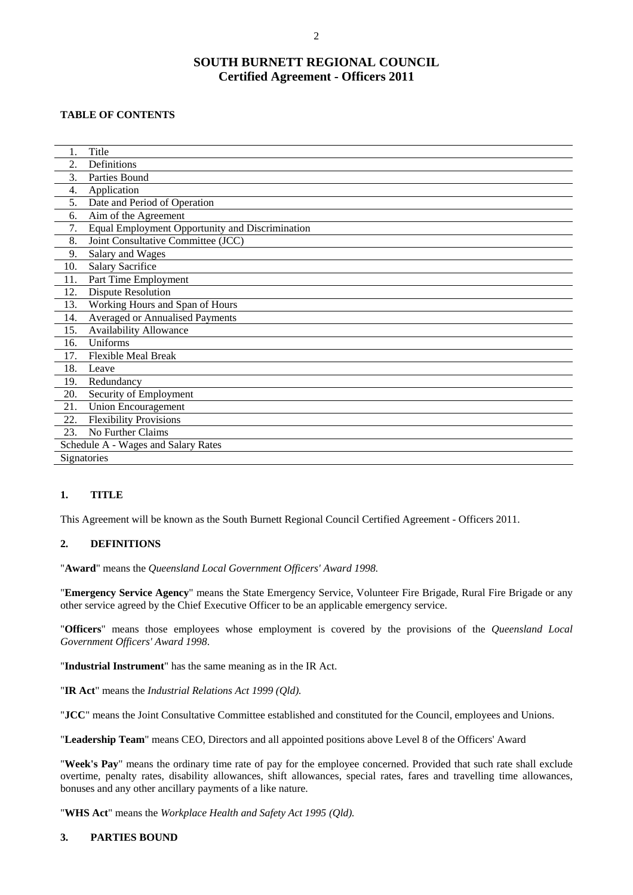# **SOUTH BURNETT REGIONAL COUNCIL Certified Agreement - Officers 2011**

## **TABLE OF CONTENTS**

| 1.                                  | Title                                           |  |  |  |
|-------------------------------------|-------------------------------------------------|--|--|--|
| 2.                                  | Definitions                                     |  |  |  |
| 3.                                  | Parties Bound                                   |  |  |  |
| 4.                                  | Application                                     |  |  |  |
| 5.                                  | Date and Period of Operation                    |  |  |  |
| 6.                                  | Aim of the Agreement                            |  |  |  |
| 7.                                  | Equal Employment Opportunity and Discrimination |  |  |  |
| 8.                                  | Joint Consultative Committee (JCC)              |  |  |  |
| 9.                                  | Salary and Wages                                |  |  |  |
| 10.                                 | Salary Sacrifice                                |  |  |  |
| 11.                                 | Part Time Employment                            |  |  |  |
| 12.                                 | <b>Dispute Resolution</b>                       |  |  |  |
| 13.                                 | Working Hours and Span of Hours                 |  |  |  |
| 14.                                 | Averaged or Annualised Payments                 |  |  |  |
| 15.                                 | <b>Availability Allowance</b>                   |  |  |  |
| 16.                                 | Uniforms                                        |  |  |  |
| 17.                                 | <b>Flexible Meal Break</b>                      |  |  |  |
| 18.                                 | Leave                                           |  |  |  |
| 19.                                 | Redundancy                                      |  |  |  |
| 20.                                 | Security of Employment                          |  |  |  |
| 21.                                 | <b>Union Encouragement</b>                      |  |  |  |
| 22.                                 | <b>Flexibility Provisions</b>                   |  |  |  |
| 23.                                 | No Further Claims                               |  |  |  |
| Schedule A - Wages and Salary Rates |                                                 |  |  |  |
| Signatories                         |                                                 |  |  |  |

#### **1. TITLE**

This Agreement will be known as the South Burnett Regional Council Certified Agreement - Officers 2011.

# **2. DEFINITIONS**

"**Award**" means the *Queensland Local Government Officers' Award 1998.* 

"**Emergency Service Agency**" means the State Emergency Service, Volunteer Fire Brigade, Rural Fire Brigade or any other service agreed by the Chief Executive Officer to be an applicable emergency service.

"**Officers**" means those employees whose employment is covered by the provisions of the *Queensland Local Government Officers' Award 1998*.

"**Industrial Instrument**" has the same meaning as in the IR Act.

"**IR Act**" means the *Industrial Relations Act 1999 (Qld).*

"**JCC**" means the Joint Consultative Committee established and constituted for the Council, employees and Unions.

"**Leadership Team**" means CEO, Directors and all appointed positions above Level 8 of the Officers' Award

"**Week's Pay**" means the ordinary time rate of pay for the employee concerned. Provided that such rate shall exclude overtime, penalty rates, disability allowances, shift allowances, special rates, fares and travelling time allowances, bonuses and any other ancillary payments of a like nature.

"**WHS Act**" means the *Workplace Health and Safety Act 1995 (Qld).* 

#### **3. PARTIES BOUND**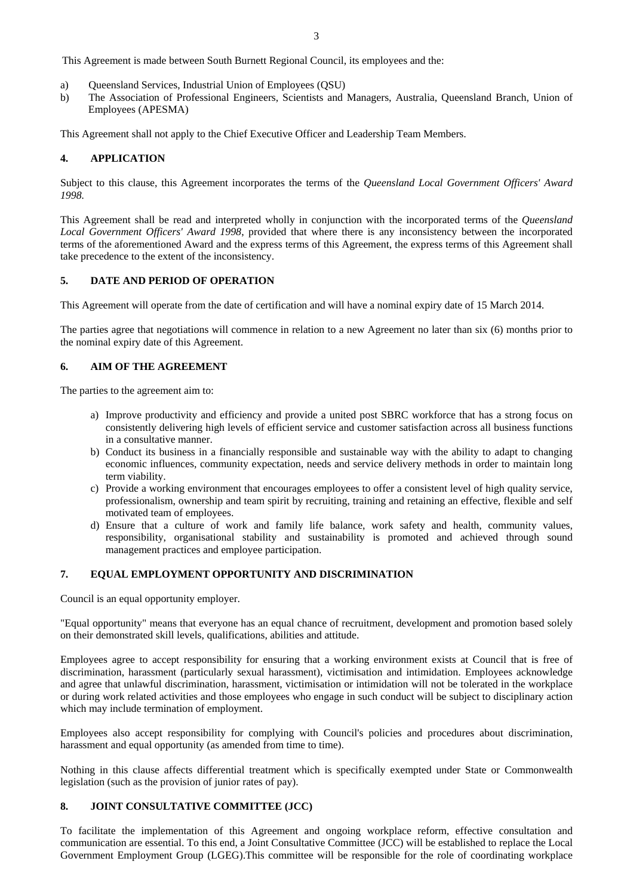This Agreement is made between South Burnett Regional Council, its employees and the:

- a) Queensland Services, Industrial Union of Employees (QSU)
- b) The Association of Professional Engineers, Scientists and Managers, Australia, Queensland Branch, Union of Employees (APESMA)

This Agreement shall not apply to the Chief Executive Officer and Leadership Team Members.

#### **4. APPLICATION**

Subject to this clause, this Agreement incorporates the terms of the *Queensland Local Government Officers' Award 1998.* 

This Agreement shall be read and interpreted wholly in conjunction with the incorporated terms of the *Queensland Local Government Officers' Award 1998*, provided that where there is any inconsistency between the incorporated terms of the aforementioned Award and the express terms of this Agreement, the express terms of this Agreement shall take precedence to the extent of the inconsistency.

#### **5. DATE AND PERIOD OF OPERATION**

This Agreement will operate from the date of certification and will have a nominal expiry date of 15 March 2014.

The parties agree that negotiations will commence in relation to a new Agreement no later than six (6) months prior to the nominal expiry date of this Agreement.

#### **6. AIM OF THE AGREEMENT**

The parties to the agreement aim to:

- a) Improve productivity and efficiency and provide a united post SBRC workforce that has a strong focus on consistently delivering high levels of efficient service and customer satisfaction across all business functions in a consultative manner.
- b) Conduct its business in a financially responsible and sustainable way with the ability to adapt to changing economic influences, community expectation, needs and service delivery methods in order to maintain long term viability.
- c) Provide a working environment that encourages employees to offer a consistent level of high quality service, professionalism, ownership and team spirit by recruiting, training and retaining an effective, flexible and self motivated team of employees.
- d) Ensure that a culture of work and family life balance, work safety and health, community values, responsibility, organisational stability and sustainability is promoted and achieved through sound management practices and employee participation.

#### **7. EQUAL EMPLOYMENT OPPORTUNITY AND DISCRIMINATION**

Council is an equal opportunity employer.

"Equal opportunity" means that everyone has an equal chance of recruitment, development and promotion based solely on their demonstrated skill levels, qualifications, abilities and attitude.

Employees agree to accept responsibility for ensuring that a working environment exists at Council that is free of discrimination, harassment (particularly sexual harassment), victimisation and intimidation. Employees acknowledge and agree that unlawful discrimination, harassment, victimisation or intimidation will not be tolerated in the workplace or during work related activities and those employees who engage in such conduct will be subject to disciplinary action which may include termination of employment.

Employees also accept responsibility for complying with Council's policies and procedures about discrimination, harassment and equal opportunity (as amended from time to time).

Nothing in this clause affects differential treatment which is specifically exempted under State or Commonwealth legislation (such as the provision of junior rates of pay).

#### **8. JOINT CONSULTATIVE COMMITTEE (JCC)**

To facilitate the implementation of this Agreement and ongoing workplace reform, effective consultation and communication are essential. To this end, a Joint Consultative Committee (JCC) will be established to replace the Local Government Employment Group (LGEG).This committee will be responsible for the role of coordinating workplace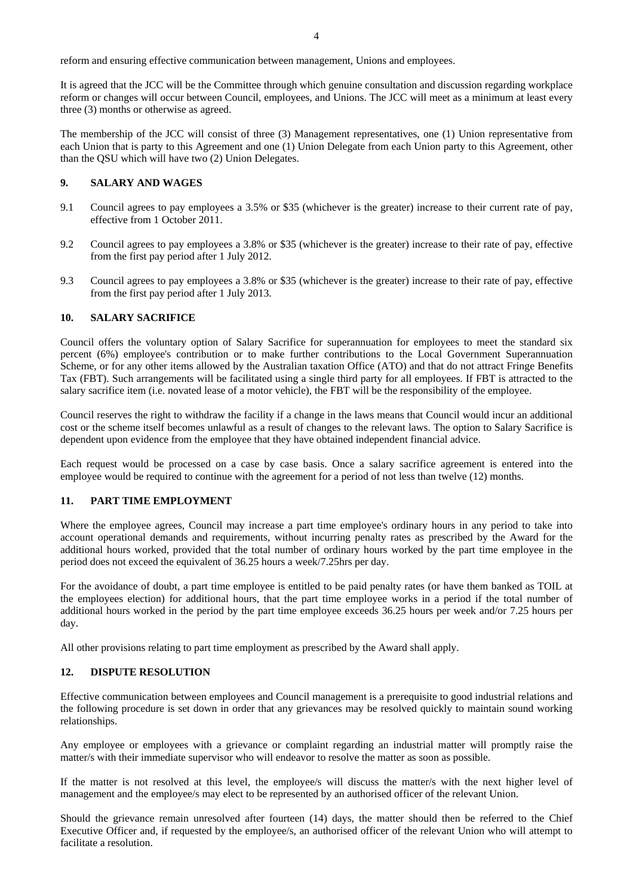reform and ensuring effective communication between management, Unions and employees.

It is agreed that the JCC will be the Committee through which genuine consultation and discussion regarding workplace reform or changes will occur between Council, employees, and Unions. The JCC will meet as a minimum at least every three (3) months or otherwise as agreed.

The membership of the JCC will consist of three (3) Management representatives, one (1) Union representative from each Union that is party to this Agreement and one (1) Union Delegate from each Union party to this Agreement, other than the QSU which will have two (2) Union Delegates.

#### **9. SALARY AND WAGES**

- 9.1 Council agrees to pay employees a 3.5% or \$35 (whichever is the greater) increase to their current rate of pay, effective from 1 October 2011.
- 9.2 Council agrees to pay employees a 3.8% or \$35 (whichever is the greater) increase to their rate of pay, effective from the first pay period after 1 July 2012.
- 9.3 Council agrees to pay employees a 3.8% or \$35 (whichever is the greater) increase to their rate of pay, effective from the first pay period after 1 July 2013.

#### **10. SALARY SACRIFICE**

Council offers the voluntary option of Salary Sacrifice for superannuation for employees to meet the standard six percent (6%) employee's contribution or to make further contributions to the Local Government Superannuation Scheme, or for any other items allowed by the Australian taxation Office (ATO) and that do not attract Fringe Benefits Tax (FBT). Such arrangements will be facilitated using a single third party for all employees. If FBT is attracted to the salary sacrifice item (i.e. novated lease of a motor vehicle), the FBT will be the responsibility of the employee.

Council reserves the right to withdraw the facility if a change in the laws means that Council would incur an additional cost or the scheme itself becomes unlawful as a result of changes to the relevant laws. The option to Salary Sacrifice is dependent upon evidence from the employee that they have obtained independent financial advice.

Each request would be processed on a case by case basis. Once a salary sacrifice agreement is entered into the employee would be required to continue with the agreement for a period of not less than twelve (12) months.

#### **11. PART TIME EMPLOYMENT**

Where the employee agrees, Council may increase a part time employee's ordinary hours in any period to take into account operational demands and requirements, without incurring penalty rates as prescribed by the Award for the additional hours worked, provided that the total number of ordinary hours worked by the part time employee in the period does not exceed the equivalent of 36.25 hours a week/7.25hrs per day.

For the avoidance of doubt, a part time employee is entitled to be paid penalty rates (or have them banked as TOIL at the employees election) for additional hours, that the part time employee works in a period if the total number of additional hours worked in the period by the part time employee exceeds 36.25 hours per week and/or 7.25 hours per day.

All other provisions relating to part time employment as prescribed by the Award shall apply.

#### **12. DISPUTE RESOLUTION**

Effective communication between employees and Council management is a prerequisite to good industrial relations and the following procedure is set down in order that any grievances may be resolved quickly to maintain sound working relationships.

Any employee or employees with a grievance or complaint regarding an industrial matter will promptly raise the matter/s with their immediate supervisor who will endeavor to resolve the matter as soon as possible.

If the matter is not resolved at this level, the employee/s will discuss the matter/s with the next higher level of management and the employee/s may elect to be represented by an authorised officer of the relevant Union.

Should the grievance remain unresolved after fourteen (14) days, the matter should then be referred to the Chief Executive Officer and, if requested by the employee/s, an authorised officer of the relevant Union who will attempt to facilitate a resolution.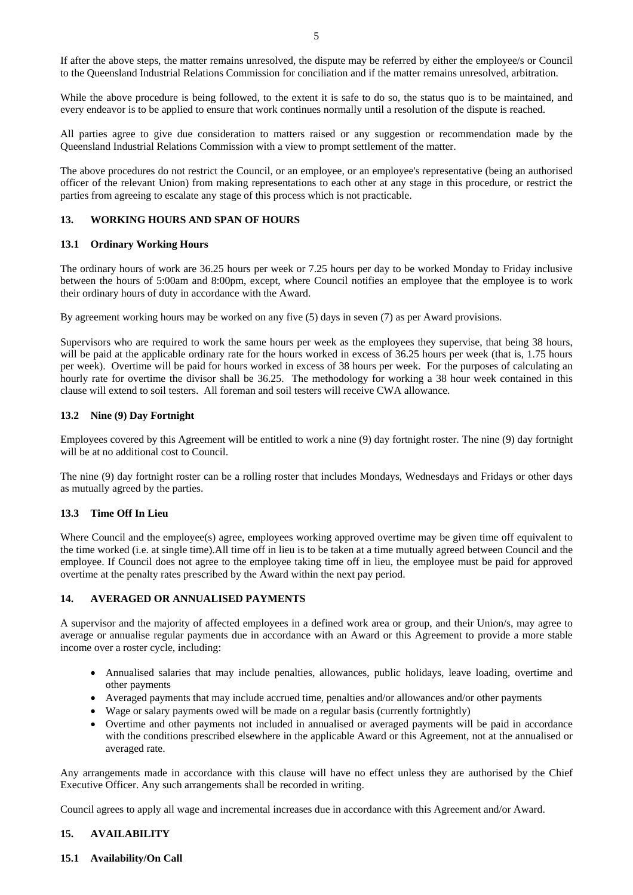If after the above steps, the matter remains unresolved, the dispute may be referred by either the employee/s or Council to the Queensland Industrial Relations Commission for conciliation and if the matter remains unresolved, arbitration.

While the above procedure is being followed, to the extent it is safe to do so, the status quo is to be maintained, and every endeavor is to be applied to ensure that work continues normally until a resolution of the dispute is reached.

All parties agree to give due consideration to matters raised or any suggestion or recommendation made by the Queensland Industrial Relations Commission with a view to prompt settlement of the matter.

The above procedures do not restrict the Council, or an employee, or an employee's representative (being an authorised officer of the relevant Union) from making representations to each other at any stage in this procedure, or restrict the parties from agreeing to escalate any stage of this process which is not practicable.

## **13. WORKING HOURS AND SPAN OF HOURS**

#### **13.1 Ordinary Working Hours**

The ordinary hours of work are 36.25 hours per week or 7.25 hours per day to be worked Monday to Friday inclusive between the hours of 5:00am and 8:00pm, except, where Council notifies an employee that the employee is to work their ordinary hours of duty in accordance with the Award.

By agreement working hours may be worked on any five (5) days in seven (7) as per Award provisions.

Supervisors who are required to work the same hours per week as the employees they supervise, that being 38 hours, will be paid at the applicable ordinary rate for the hours worked in excess of 36.25 hours per week (that is, 1.75 hours per week). Overtime will be paid for hours worked in excess of 38 hours per week. For the purposes of calculating an hourly rate for overtime the divisor shall be 36.25. The methodology for working a 38 hour week contained in this clause will extend to soil testers. All foreman and soil testers will receive CWA allowance.

# **13.2 Nine (9) Day Fortnight**

Employees covered by this Agreement will be entitled to work a nine (9) day fortnight roster. The nine (9) day fortnight will be at no additional cost to Council.

The nine (9) day fortnight roster can be a rolling roster that includes Mondays, Wednesdays and Fridays or other days as mutually agreed by the parties.

#### **13.3 Time Off In Lieu**

Where Council and the employee(s) agree, employees working approved overtime may be given time off equivalent to the time worked (i.e. at single time).All time off in lieu is to be taken at a time mutually agreed between Council and the employee. If Council does not agree to the employee taking time off in lieu, the employee must be paid for approved overtime at the penalty rates prescribed by the Award within the next pay period.

#### **14. AVERAGED OR ANNUALISED PAYMENTS**

A supervisor and the majority of affected employees in a defined work area or group, and their Union/s, may agree to average or annualise regular payments due in accordance with an Award or this Agreement to provide a more stable income over a roster cycle, including:

- Annualised salaries that may include penalties, allowances, public holidays, leave loading, overtime and other payments
- Averaged payments that may include accrued time, penalties and/or allowances and/or other payments
- Wage or salary payments owed will be made on a regular basis (currently fortnightly)
- Overtime and other payments not included in annualised or averaged payments will be paid in accordance with the conditions prescribed elsewhere in the applicable Award or this Agreement, not at the annualised or averaged rate.

Any arrangements made in accordance with this clause will have no effect unless they are authorised by the Chief Executive Officer. Any such arrangements shall be recorded in writing.

Council agrees to apply all wage and incremental increases due in accordance with this Agreement and/or Award.

#### **15. AVAILABILITY**

**15.1 Availability/On Call**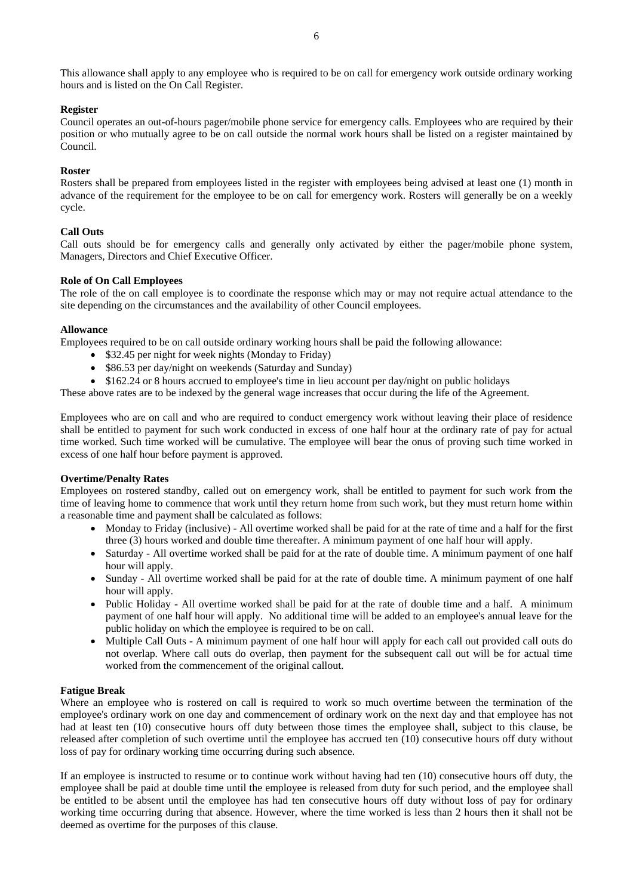#### **Register**

Council operates an out-of-hours pager/mobile phone service for emergency calls. Employees who are required by their position or who mutually agree to be on call outside the normal work hours shall be listed on a register maintained by Council.

#### **Roster**

Rosters shall be prepared from employees listed in the register with employees being advised at least one (1) month in advance of the requirement for the employee to be on call for emergency work. Rosters will generally be on a weekly cycle.

#### **Call Outs**

Call outs should be for emergency calls and generally only activated by either the pager/mobile phone system, Managers, Directors and Chief Executive Officer.

#### **Role of On Call Employees**

The role of the on call employee is to coordinate the response which may or may not require actual attendance to the site depending on the circumstances and the availability of other Council employees.

#### **Allowance**

Employees required to be on call outside ordinary working hours shall be paid the following allowance:

- \$32.45 per night for week nights (Monday to Friday)
- \$86.53 per day/night on weekends (Saturday and Sunday)
- \$162.24 or 8 hours accrued to employee's time in lieu account per day/night on public holidays

These above rates are to be indexed by the general wage increases that occur during the life of the Agreement.

Employees who are on call and who are required to conduct emergency work without leaving their place of residence shall be entitled to payment for such work conducted in excess of one half hour at the ordinary rate of pay for actual time worked. Such time worked will be cumulative. The employee will bear the onus of proving such time worked in excess of one half hour before payment is approved.

#### **Overtime/Penalty Rates**

Employees on rostered standby, called out on emergency work, shall be entitled to payment for such work from the time of leaving home to commence that work until they return home from such work, but they must return home within a reasonable time and payment shall be calculated as follows:

- Monday to Friday (inclusive) All overtime worked shall be paid for at the rate of time and a half for the first three (3) hours worked and double time thereafter. A minimum payment of one half hour will apply.
- Saturday All overtime worked shall be paid for at the rate of double time. A minimum payment of one half hour will apply.
- Sunday All overtime worked shall be paid for at the rate of double time. A minimum payment of one half hour will apply.
- Public Holiday All overtime worked shall be paid for at the rate of double time and a half. A minimum payment of one half hour will apply. No additional time will be added to an employee's annual leave for the public holiday on which the employee is required to be on call.
- Multiple Call Outs A minimum payment of one half hour will apply for each call out provided call outs do not overlap. Where call outs do overlap, then payment for the subsequent call out will be for actual time worked from the commencement of the original callout.

#### **Fatigue Break**

Where an employee who is rostered on call is required to work so much overtime between the termination of the employee's ordinary work on one day and commencement of ordinary work on the next day and that employee has not had at least ten (10) consecutive hours off duty between those times the employee shall, subject to this clause, be released after completion of such overtime until the employee has accrued ten (10) consecutive hours off duty without loss of pay for ordinary working time occurring during such absence.

If an employee is instructed to resume or to continue work without having had ten (10) consecutive hours off duty, the employee shall be paid at double time until the employee is released from duty for such period, and the employee shall be entitled to be absent until the employee has had ten consecutive hours off duty without loss of pay for ordinary working time occurring during that absence. However, where the time worked is less than 2 hours then it shall not be deemed as overtime for the purposes of this clause.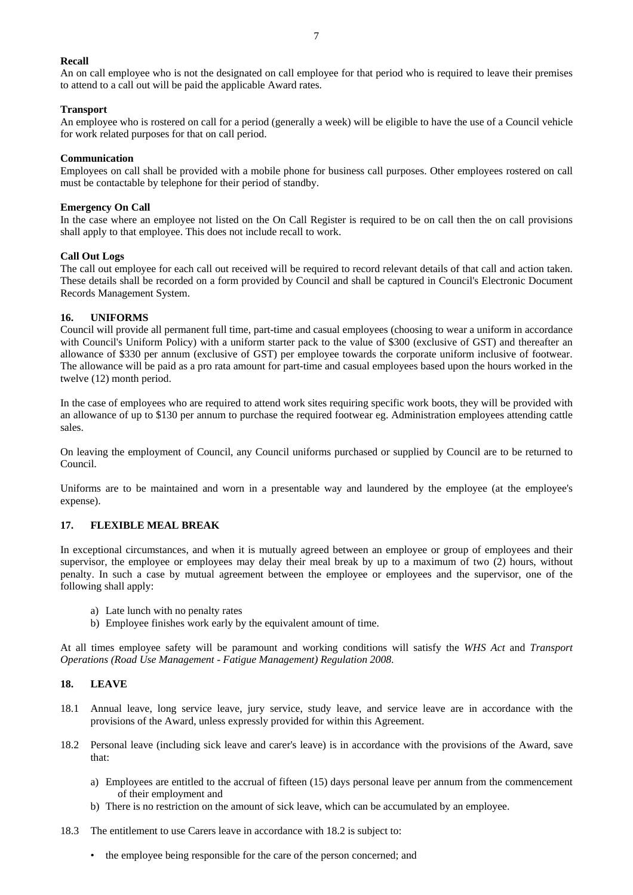#### **Recall**

An on call employee who is not the designated on call employee for that period who is required to leave their premises to attend to a call out will be paid the applicable Award rates.

#### **Transport**

An employee who is rostered on call for a period (generally a week) will be eligible to have the use of a Council vehicle for work related purposes for that on call period.

#### **Communication**

Employees on call shall be provided with a mobile phone for business call purposes. Other employees rostered on call must be contactable by telephone for their period of standby.

#### **Emergency On Call**

In the case where an employee not listed on the On Call Register is required to be on call then the on call provisions shall apply to that employee. This does not include recall to work.

#### **Call Out Logs**

The call out employee for each call out received will be required to record relevant details of that call and action taken. These details shall be recorded on a form provided by Council and shall be captured in Council's Electronic Document Records Management System.

#### **16. UNIFORMS**

Council will provide all permanent full time, part-time and casual employees (choosing to wear a uniform in accordance with Council's Uniform Policy) with a uniform starter pack to the value of \$300 (exclusive of GST) and thereafter an allowance of \$330 per annum (exclusive of GST) per employee towards the corporate uniform inclusive of footwear. The allowance will be paid as a pro rata amount for part-time and casual employees based upon the hours worked in the twelve (12) month period.

In the case of employees who are required to attend work sites requiring specific work boots, they will be provided with an allowance of up to \$130 per annum to purchase the required footwear eg. Administration employees attending cattle sales.

On leaving the employment of Council, any Council uniforms purchased or supplied by Council are to be returned to Council.

Uniforms are to be maintained and worn in a presentable way and laundered by the employee (at the employee's expense).

#### **17. FLEXIBLE MEAL BREAK**

In exceptional circumstances, and when it is mutually agreed between an employee or group of employees and their supervisor, the employee or employees may delay their meal break by up to a maximum of two (2) hours, without penalty. In such a case by mutual agreement between the employee or employees and the supervisor, one of the following shall apply:

- a) Late lunch with no penalty rates
- b) Employee finishes work early by the equivalent amount of time.

At all times employee safety will be paramount and working conditions will satisfy the *WHS Act* and *Transport Operations (Road Use Management - Fatigue Management) Regulation 2008*.

#### **18. LEAVE**

- 18.1 Annual leave, long service leave, jury service, study leave, and service leave are in accordance with the provisions of the Award, unless expressly provided for within this Agreement.
- 18.2 Personal leave (including sick leave and carer's leave) is in accordance with the provisions of the Award, save that:
	- a) Employees are entitled to the accrual of fifteen (15) days personal leave per annum from the commencement of their employment and
	- b) There is no restriction on the amount of sick leave, which can be accumulated by an employee.
- 18.3 The entitlement to use Carers leave in accordance with 18.2 is subject to:
	- the employee being responsible for the care of the person concerned; and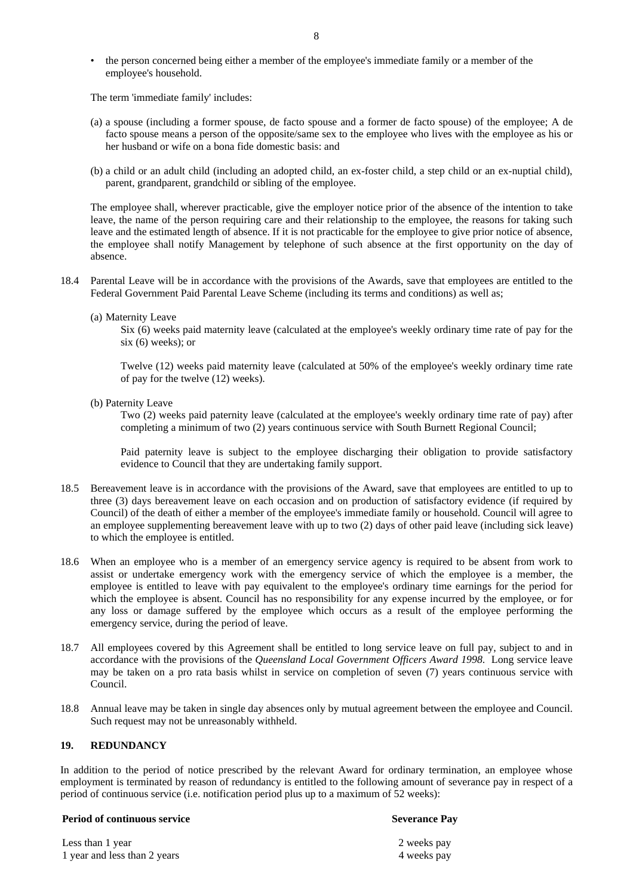• the person concerned being either a member of the employee's immediate family or a member of the employee's household.

The term 'immediate family' includes:

- (a) a spouse (including a former spouse, de facto spouse and a former de facto spouse) of the employee; A de facto spouse means a person of the opposite/same sex to the employee who lives with the employee as his or her husband or wife on a bona fide domestic basis: and
- (b) a child or an adult child (including an adopted child, an ex-foster child, a step child or an ex-nuptial child), parent, grandparent, grandchild or sibling of the employee.

The employee shall, wherever practicable, give the employer notice prior of the absence of the intention to take leave, the name of the person requiring care and their relationship to the employee, the reasons for taking such leave and the estimated length of absence. If it is not practicable for the employee to give prior notice of absence, the employee shall notify Management by telephone of such absence at the first opportunity on the day of absence.

- 18.4 Parental Leave will be in accordance with the provisions of the Awards, save that employees are entitled to the Federal Government Paid Parental Leave Scheme (including its terms and conditions) as well as;
	- (a) Maternity Leave

Six (6) weeks paid maternity leave (calculated at the employee's weekly ordinary time rate of pay for the six (6) weeks); or

Twelve (12) weeks paid maternity leave (calculated at 50% of the employee's weekly ordinary time rate of pay for the twelve (12) weeks).

(b) Paternity Leave

Two (2) weeks paid paternity leave (calculated at the employee's weekly ordinary time rate of pay) after completing a minimum of two (2) years continuous service with South Burnett Regional Council;

Paid paternity leave is subject to the employee discharging their obligation to provide satisfactory evidence to Council that they are undertaking family support.

- 18.5 Bereavement leave is in accordance with the provisions of the Award, save that employees are entitled to up to three (3) days bereavement leave on each occasion and on production of satisfactory evidence (if required by Council) of the death of either a member of the employee's immediate family or household. Council will agree to an employee supplementing bereavement leave with up to two (2) days of other paid leave (including sick leave) to which the employee is entitled.
- 18.6 When an employee who is a member of an emergency service agency is required to be absent from work to assist or undertake emergency work with the emergency service of which the employee is a member, the employee is entitled to leave with pay equivalent to the employee's ordinary time earnings for the period for which the employee is absent. Council has no responsibility for any expense incurred by the employee, or for any loss or damage suffered by the employee which occurs as a result of the employee performing the emergency service, during the period of leave.
- 18.7 All employees covered by this Agreement shall be entitled to long service leave on full pay, subject to and in accordance with the provisions of the *Queensland Local Government Officers Award 1998*. Long service leave may be taken on a pro rata basis whilst in service on completion of seven (7) years continuous service with Council.
- 18.8 Annual leave may be taken in single day absences only by mutual agreement between the employee and Council. Such request may not be unreasonably withheld.

# **19. REDUNDANCY**

In addition to the period of notice prescribed by the relevant Award for ordinary termination, an employee whose employment is terminated by reason of redundancy is entitled to the following amount of severance pay in respect of a period of continuous service (i.e. notification period plus up to a maximum of 52 weeks):

#### **Period of continuous service Severance Pay**

Less than 1 year 2 weeks pay 1 year and less than 2 years 4 weeks pay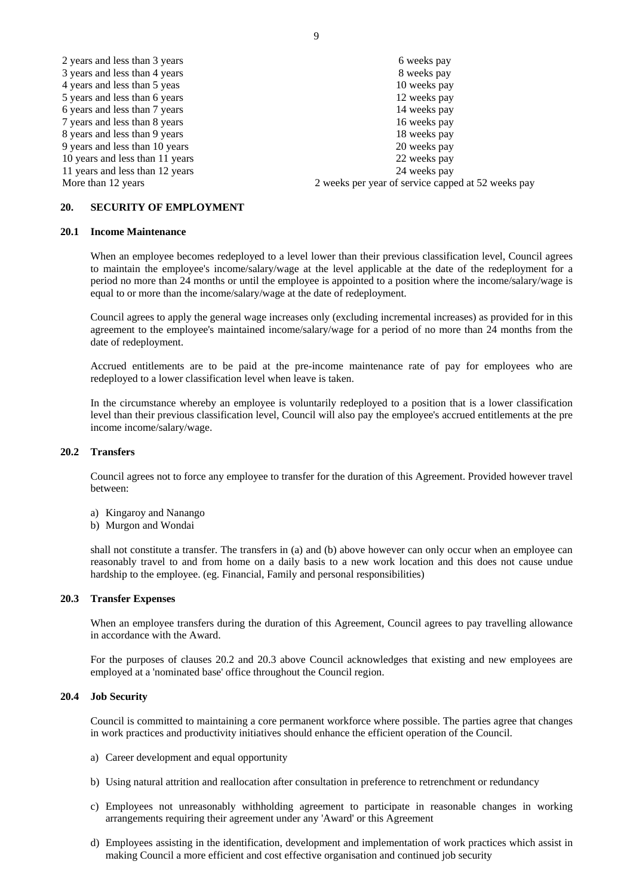| 2 years and less than 3 years   | 6 weeks pay                                        |
|---------------------------------|----------------------------------------------------|
| 3 years and less than 4 years   | 8 weeks pay                                        |
| 4 years and less than 5 yeas    | 10 weeks pay                                       |
| 5 years and less than 6 years   | 12 weeks pay                                       |
| 6 years and less than 7 years   | 14 weeks pay                                       |
| 7 years and less than 8 years   | 16 weeks pay                                       |
| 8 years and less than 9 years   | 18 weeks pay                                       |
| 9 years and less than 10 years  | 20 weeks pay                                       |
| 10 years and less than 11 years | 22 weeks pay                                       |
| 11 years and less than 12 years | 24 weeks pay                                       |
| More than 12 years              | 2 weeks per year of service capped at 52 weeks pay |

# **20. SECURITY OF EMPLOYMENT**

#### **20.1 Income Maintenance**

When an employee becomes redeployed to a level lower than their previous classification level, Council agrees to maintain the employee's income/salary/wage at the level applicable at the date of the redeployment for a period no more than 24 months or until the employee is appointed to a position where the income/salary/wage is equal to or more than the income/salary/wage at the date of redeployment.

Council agrees to apply the general wage increases only (excluding incremental increases) as provided for in this agreement to the employee's maintained income/salary/wage for a period of no more than 24 months from the date of redeployment.

Accrued entitlements are to be paid at the pre-income maintenance rate of pay for employees who are redeployed to a lower classification level when leave is taken.

In the circumstance whereby an employee is voluntarily redeployed to a position that is a lower classification level than their previous classification level, Council will also pay the employee's accrued entitlements at the pre income income/salary/wage.

#### **20.2 Transfers**

Council agrees not to force any employee to transfer for the duration of this Agreement. Provided however travel between:

- a) Kingaroy and Nanango
- b) Murgon and Wondai

shall not constitute a transfer. The transfers in (a) and (b) above however can only occur when an employee can reasonably travel to and from home on a daily basis to a new work location and this does not cause undue hardship to the employee. (eg. Financial, Family and personal responsibilities)

#### **20.3 Transfer Expenses**

When an employee transfers during the duration of this Agreement, Council agrees to pay travelling allowance in accordance with the Award.

For the purposes of clauses 20.2 and 20.3 above Council acknowledges that existing and new employees are employed at a 'nominated base' office throughout the Council region.

#### **20.4 Job Security**

Council is committed to maintaining a core permanent workforce where possible. The parties agree that changes in work practices and productivity initiatives should enhance the efficient operation of the Council.

- a) Career development and equal opportunity
- b) Using natural attrition and reallocation after consultation in preference to retrenchment or redundancy
- c) Employees not unreasonably withholding agreement to participate in reasonable changes in working arrangements requiring their agreement under any 'Award' or this Agreement
- d) Employees assisting in the identification, development and implementation of work practices which assist in making Council a more efficient and cost effective organisation and continued job security

9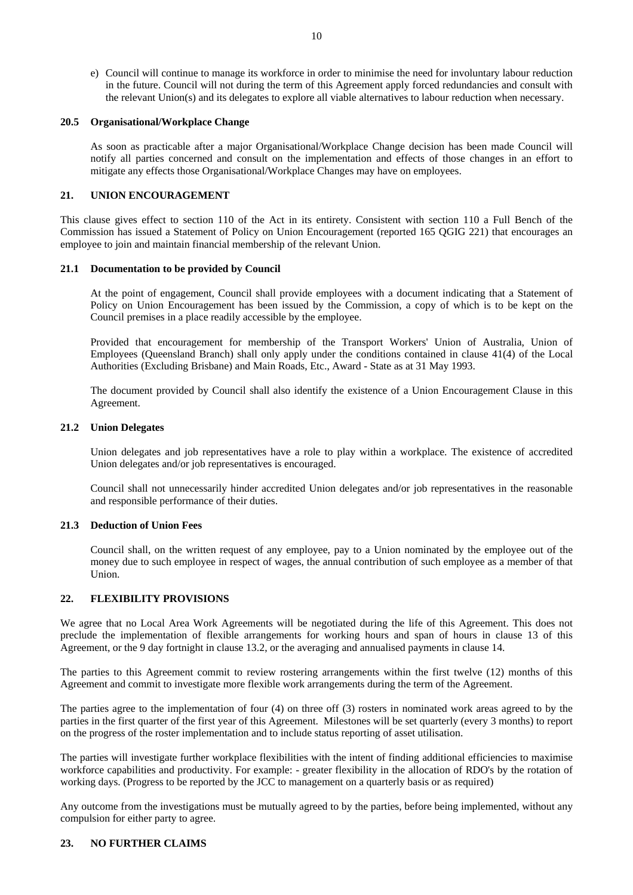e) Council will continue to manage its workforce in order to minimise the need for involuntary labour reduction in the future. Council will not during the term of this Agreement apply forced redundancies and consult with the relevant Union(s) and its delegates to explore all viable alternatives to labour reduction when necessary.

#### **20.5 Organisational/Workplace Change**

As soon as practicable after a major Organisational/Workplace Change decision has been made Council will notify all parties concerned and consult on the implementation and effects of those changes in an effort to mitigate any effects those Organisational/Workplace Changes may have on employees.

# **21. UNION ENCOURAGEMENT**

This clause gives effect to section 110 of the Act in its entirety. Consistent with section 110 a Full Bench of the Commission has issued a Statement of Policy on Union Encouragement (reported 165 QGIG 221) that encourages an employee to join and maintain financial membership of the relevant Union.

#### **21.1 Documentation to be provided by Council**

At the point of engagement, Council shall provide employees with a document indicating that a Statement of Policy on Union Encouragement has been issued by the Commission, a copy of which is to be kept on the Council premises in a place readily accessible by the employee.

Provided that encouragement for membership of the Transport Workers' Union of Australia, Union of Employees (Queensland Branch) shall only apply under the conditions contained in clause 41(4) of the Local Authorities (Excluding Brisbane) and Main Roads, Etc., Award - State as at 31 May 1993.

The document provided by Council shall also identify the existence of a Union Encouragement Clause in this Agreement.

#### **21.2 Union Delegates**

Union delegates and job representatives have a role to play within a workplace. The existence of accredited Union delegates and/or job representatives is encouraged.

Council shall not unnecessarily hinder accredited Union delegates and/or job representatives in the reasonable and responsible performance of their duties.

#### **21.3 Deduction of Union Fees**

Council shall, on the written request of any employee, pay to a Union nominated by the employee out of the money due to such employee in respect of wages, the annual contribution of such employee as a member of that Union.

#### **22. FLEXIBILITY PROVISIONS**

We agree that no Local Area Work Agreements will be negotiated during the life of this Agreement. This does not preclude the implementation of flexible arrangements for working hours and span of hours in clause 13 of this Agreement, or the 9 day fortnight in clause 13.2, or the averaging and annualised payments in clause 14.

The parties to this Agreement commit to review rostering arrangements within the first twelve (12) months of this Agreement and commit to investigate more flexible work arrangements during the term of the Agreement.

The parties agree to the implementation of four (4) on three off (3) rosters in nominated work areas agreed to by the parties in the first quarter of the first year of this Agreement. Milestones will be set quarterly (every 3 months) to report on the progress of the roster implementation and to include status reporting of asset utilisation.

The parties will investigate further workplace flexibilities with the intent of finding additional efficiencies to maximise workforce capabilities and productivity. For example: - greater flexibility in the allocation of RDO's by the rotation of working days. (Progress to be reported by the JCC to management on a quarterly basis or as required)

Any outcome from the investigations must be mutually agreed to by the parties, before being implemented, without any compulsion for either party to agree.

#### **23. NO FURTHER CLAIMS**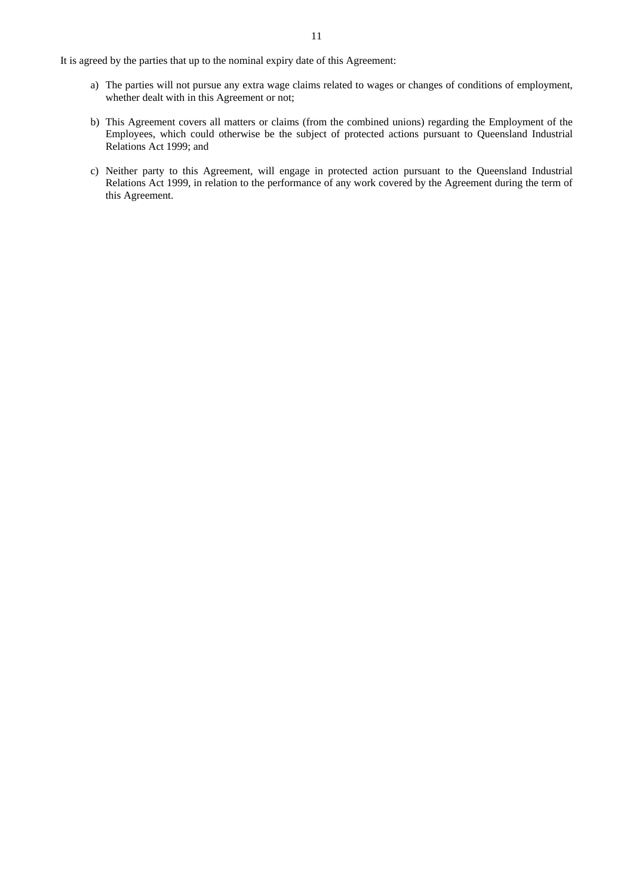It is agreed by the parties that up to the nominal expiry date of this Agreement:

- a) The parties will not pursue any extra wage claims related to wages or changes of conditions of employment, whether dealt with in this Agreement or not;
- b) This Agreement covers all matters or claims (from the combined unions) regarding the Employment of the Employees, which could otherwise be the subject of protected actions pursuant to Queensland Industrial Relations Act 1999; and
- c) Neither party to this Agreement, will engage in protected action pursuant to the Queensland Industrial Relations Act 1999, in relation to the performance of any work covered by the Agreement during the term of this Agreement.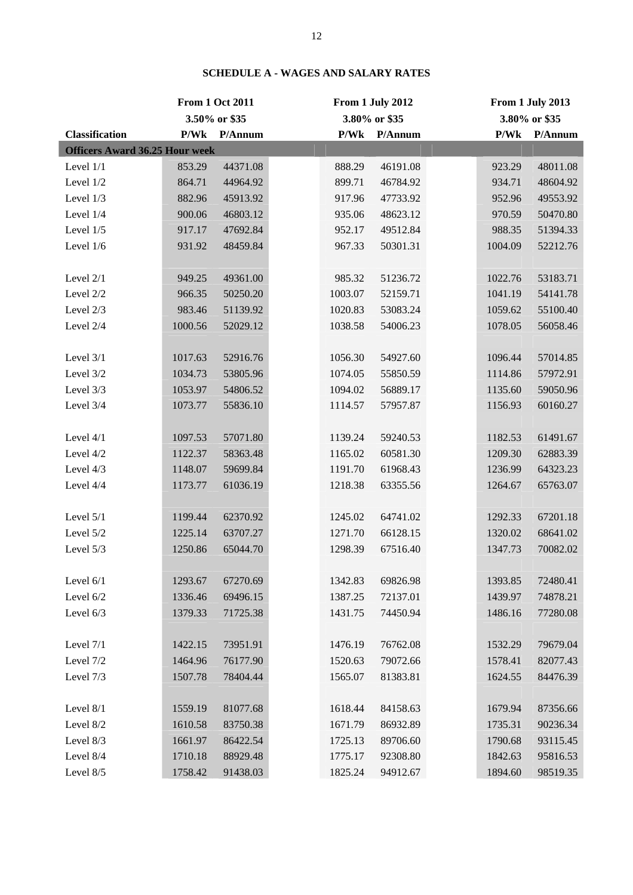|                                       |         | <b>From 1 Oct 2011</b> | From 1 July 2012 |         |               | From 1 July 2013 |               |
|---------------------------------------|---------|------------------------|------------------|---------|---------------|------------------|---------------|
|                                       |         | 3.50% or \$35          |                  |         | 3.80% or \$35 |                  | 3.80% or \$35 |
| <b>Classification</b>                 | P/Wk    | P/Annum                |                  | P/Wk    | P/Annum       | P/Wk             | P/Annum       |
| <b>Officers Award 36.25 Hour week</b> |         |                        |                  |         |               |                  |               |
| Level 1/1                             | 853.29  | 44371.08               |                  | 888.29  | 46191.08      | 923.29           | 48011.08      |
| Level 1/2                             | 864.71  | 44964.92               |                  | 899.71  | 46784.92      | 934.71           | 48604.92      |
| Level 1/3                             | 882.96  | 45913.92               |                  | 917.96  | 47733.92      | 952.96           | 49553.92      |
| Level 1/4                             | 900.06  | 46803.12               |                  | 935.06  | 48623.12      | 970.59           | 50470.80      |
| Level 1/5                             | 917.17  | 47692.84               |                  | 952.17  | 49512.84      | 988.35           | 51394.33      |
| Level 1/6                             | 931.92  | 48459.84               |                  | 967.33  | 50301.31      | 1004.09          | 52212.76      |
|                                       |         |                        |                  |         |               |                  |               |
| Level 2/1                             | 949.25  | 49361.00               |                  | 985.32  | 51236.72      | 1022.76          | 53183.71      |
| Level 2/2                             | 966.35  | 50250.20               |                  | 1003.07 | 52159.71      | 1041.19          | 54141.78      |
| Level 2/3                             | 983.46  | 51139.92               |                  | 1020.83 | 53083.24      | 1059.62          | 55100.40      |
| Level 2/4                             | 1000.56 | 52029.12               |                  | 1038.58 | 54006.23      | 1078.05          | 56058.46      |
|                                       |         |                        |                  |         |               |                  |               |
| Level 3/1                             | 1017.63 | 52916.76               |                  | 1056.30 | 54927.60      | 1096.44          | 57014.85      |
| Level 3/2                             | 1034.73 | 53805.96               |                  | 1074.05 | 55850.59      | 1114.86          | 57972.91      |
| Level 3/3                             | 1053.97 | 54806.52               |                  | 1094.02 | 56889.17      | 1135.60          | 59050.96      |
| Level 3/4                             | 1073.77 | 55836.10               |                  | 1114.57 | 57957.87      | 1156.93          | 60160.27      |
|                                       |         |                        |                  |         |               |                  |               |
| Level 4/1                             | 1097.53 | 57071.80               |                  | 1139.24 | 59240.53      | 1182.53          | 61491.67      |
| Level 4/2                             | 1122.37 | 58363.48               |                  | 1165.02 | 60581.30      | 1209.30          | 62883.39      |
| Level 4/3                             | 1148.07 | 59699.84               |                  | 1191.70 | 61968.43      | 1236.99          | 64323.23      |
| Level 4/4                             | 1173.77 | 61036.19               |                  | 1218.38 | 63355.56      | 1264.67          | 65763.07      |
|                                       |         |                        |                  |         |               |                  |               |
| Level 5/1                             | 1199.44 | 62370.92               |                  | 1245.02 | 64741.02      | 1292.33          | 67201.18      |
| Level 5/2                             | 1225.14 | 63707.27               |                  | 1271.70 | 66128.15      | 1320.02          | 68641.02      |
| Level 5/3                             | 1250.86 | 65044.70               |                  | 1298.39 | 67516.40      | 1347.73          | 70082.02      |
|                                       |         |                        |                  |         |               |                  |               |
| Level 6/1                             | 1293.67 | 67270.69               |                  | 1342.83 | 69826.98      | 1393.85          | 72480.41      |
| Level 6/2                             | 1336.46 | 69496.15               |                  | 1387.25 | 72137.01      | 1439.97          | 74878.21      |
| Level 6/3                             | 1379.33 | 71725.38               |                  | 1431.75 | 74450.94      | 1486.16          | 77280.08      |
|                                       |         |                        |                  |         |               |                  |               |
| Level 7/1                             | 1422.15 | 73951.91               |                  | 1476.19 | 76762.08      | 1532.29          | 79679.04      |
| Level 7/2                             | 1464.96 | 76177.90               |                  | 1520.63 | 79072.66      | 1578.41          | 82077.43      |
| Level 7/3                             | 1507.78 | 78404.44               |                  | 1565.07 | 81383.81      | 1624.55          | 84476.39      |
|                                       |         |                        |                  |         |               |                  |               |
| Level 8/1                             | 1559.19 | 81077.68               |                  | 1618.44 | 84158.63      | 1679.94          | 87356.66      |
| Level 8/2                             | 1610.58 | 83750.38               |                  | 1671.79 | 86932.89      | 1735.31          | 90236.34      |
| Level 8/3                             | 1661.97 | 86422.54               |                  | 1725.13 | 89706.60      | 1790.68          | 93115.45      |
| Level 8/4                             | 1710.18 | 88929.48               |                  | 1775.17 | 92308.80      | 1842.63          | 95816.53      |
| Level 8/5                             | 1758.42 | 91438.03               |                  | 1825.24 | 94912.67      | 1894.60          | 98519.35      |

# **SCHEDULE A - WAGES AND SALARY RATES**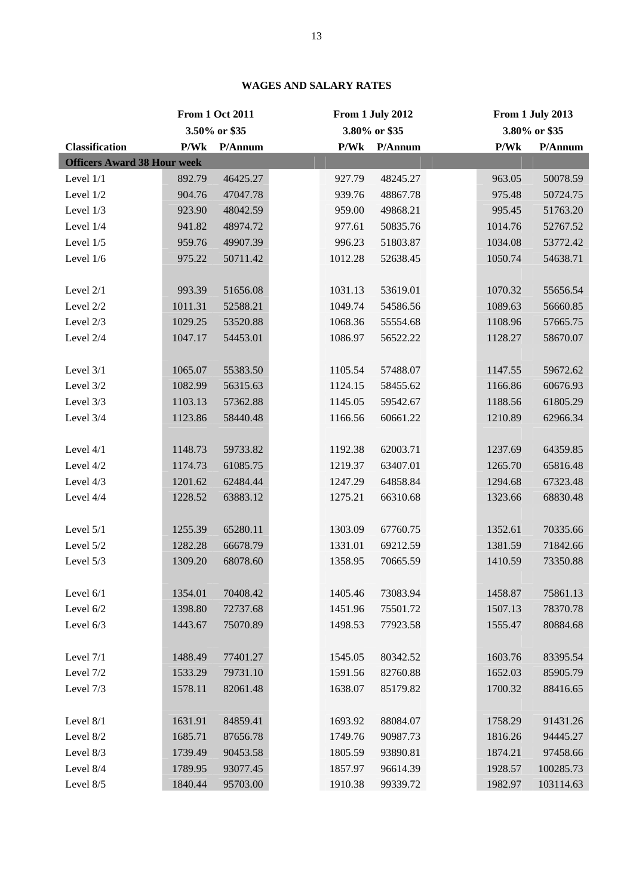|                                    |               | <b>From 1 Oct 2011</b> | From 1 July 2012 |               |               | From 1 July 2013 |           |
|------------------------------------|---------------|------------------------|------------------|---------------|---------------|------------------|-----------|
|                                    | 3.50% or \$35 |                        |                  | 3.80% or \$35 | 3.80% or \$35 |                  |           |
| <b>Classification</b>              | P/Wk          | P/Annum                |                  | P/Wk          | P/Annum       | P/Wk             | P/Annum   |
| <b>Officers Award 38 Hour week</b> |               |                        |                  |               |               |                  |           |
| Level 1/1                          | 892.79        | 46425.27               |                  | 927.79        | 48245.27      | 963.05           | 50078.59  |
| Level 1/2                          | 904.76        | 47047.78               |                  | 939.76        | 48867.78      | 975.48           | 50724.75  |
| Level 1/3                          | 923.90        | 48042.59               |                  | 959.00        | 49868.21      | 995.45           | 51763.20  |
| Level 1/4                          | 941.82        | 48974.72               |                  | 977.61        | 50835.76      | 1014.76          | 52767.52  |
| Level 1/5                          | 959.76        | 49907.39               |                  | 996.23        | 51803.87      | 1034.08          | 53772.42  |
| Level 1/6                          | 975.22        | 50711.42               |                  | 1012.28       | 52638.45      | 1050.74          | 54638.71  |
|                                    |               |                        |                  |               |               |                  |           |
| Level 2/1                          | 993.39        | 51656.08               |                  | 1031.13       | 53619.01      | 1070.32          | 55656.54  |
| Level 2/2                          | 1011.31       | 52588.21               |                  | 1049.74       | 54586.56      | 1089.63          | 56660.85  |
| Level 2/3                          | 1029.25       | 53520.88               |                  | 1068.36       | 55554.68      | 1108.96          | 57665.75  |
| Level 2/4                          | 1047.17       | 54453.01               |                  | 1086.97       | 56522.22      | 1128.27          | 58670.07  |
|                                    |               |                        |                  |               |               |                  |           |
| Level 3/1                          | 1065.07       | 55383.50               |                  | 1105.54       | 57488.07      | 1147.55          | 59672.62  |
| Level 3/2                          | 1082.99       | 56315.63               |                  | 1124.15       | 58455.62      | 1166.86          | 60676.93  |
| Level 3/3                          | 1103.13       | 57362.88               |                  | 1145.05       | 59542.67      | 1188.56          | 61805.29  |
| Level 3/4                          | 1123.86       | 58440.48               |                  | 1166.56       | 60661.22      | 1210.89          | 62966.34  |
|                                    |               |                        |                  |               |               |                  |           |
| Level 4/1                          | 1148.73       | 59733.82               |                  | 1192.38       | 62003.71      | 1237.69          | 64359.85  |
| Level 4/2                          | 1174.73       | 61085.75               |                  | 1219.37       | 63407.01      | 1265.70          | 65816.48  |
| Level 4/3                          | 1201.62       | 62484.44               |                  | 1247.29       | 64858.84      | 1294.68          | 67323.48  |
| Level 4/4                          | 1228.52       | 63883.12               |                  | 1275.21       | 66310.68      | 1323.66          | 68830.48  |
|                                    |               |                        |                  |               |               |                  |           |
| Level 5/1                          | 1255.39       | 65280.11               |                  | 1303.09       | 67760.75      | 1352.61          | 70335.66  |
| Level 5/2                          | 1282.28       | 66678.79               |                  | 1331.01       | 69212.59      | 1381.59          | 71842.66  |
| Level 5/3                          | 1309.20       | 68078.60               |                  | 1358.95       | 70665.59      | 1410.59          | 73350.88  |
|                                    |               |                        |                  |               |               |                  |           |
| Level 6/1                          | 1354.01       | 70408.42               |                  | 1405.46       | 73083.94      | 1458.87          | 75861.13  |
| Level 6/2                          | 1398.80       | 72737.68               |                  | 1451.96       | 75501.72      | 1507.13          | 78370.78  |
| Level 6/3                          | 1443.67       | 75070.89               |                  | 1498.53       | 77923.58      | 1555.47          | 80884.68  |
|                                    |               |                        |                  |               |               |                  |           |
| Level 7/1                          | 1488.49       | 77401.27               |                  | 1545.05       | 80342.52      | 1603.76          | 83395.54  |
| Level 7/2                          | 1533.29       | 79731.10               |                  | 1591.56       | 82760.88      | 1652.03          | 85905.79  |
| Level 7/3                          | 1578.11       | 82061.48               |                  | 1638.07       | 85179.82      | 1700.32          | 88416.65  |
|                                    |               |                        |                  |               |               |                  |           |
| Level 8/1                          | 1631.91       | 84859.41               |                  | 1693.92       | 88084.07      | 1758.29          | 91431.26  |
| Level 8/2                          | 1685.71       | 87656.78               |                  | 1749.76       | 90987.73      | 1816.26          | 94445.27  |
| Level 8/3                          | 1739.49       | 90453.58               |                  | 1805.59       | 93890.81      | 1874.21          | 97458.66  |
| Level 8/4                          | 1789.95       | 93077.45               |                  | 1857.97       | 96614.39      | 1928.57          | 100285.73 |
| Level 8/5                          | 1840.44       | 95703.00               |                  | 1910.38       | 99339.72      | 1982.97          | 103114.63 |